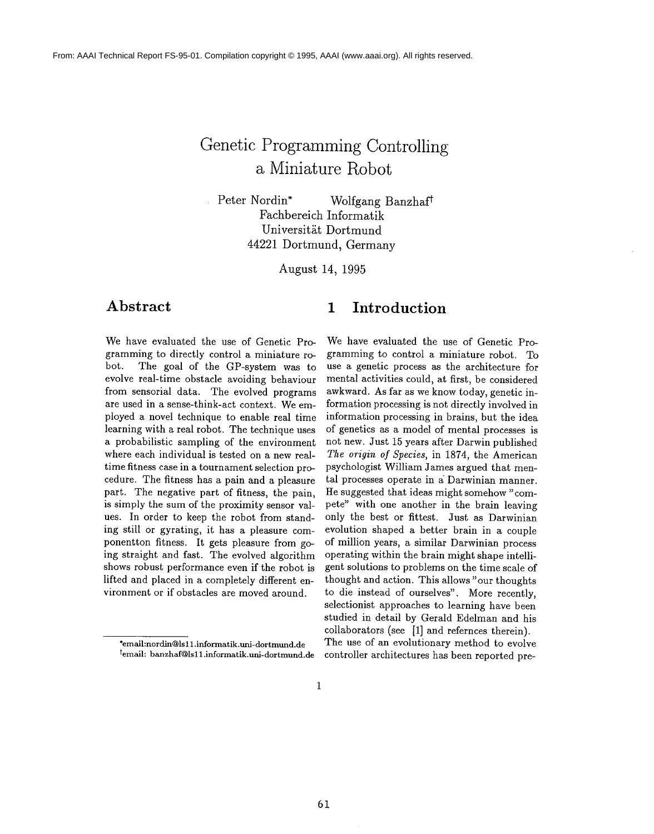# **Genetic Programming Controlling a Miniature Robot**

Peter Nordin\* Wolfgang Banzhaft Fachbereich Informatik Universität Dortmund 44221 Dortmund, Germany

August 14, 1995

We have evaluated the use of Genetic Programming to directly control a miniature robot. The goal of the GP-system was to evolve real-time obstacle avoiding behaviour from sensorial data. The evolved programs are used in a sense-think-act context. We employed a novel technique to enable real time learning with a real robot. The technique uses a probabilistic sampling of the environment where each individual is tested on a new realtime fitness case in a tournament selection procedure. The fitness has a pain and a pleasure part. The negative part of fitness, the pain, is simply the sum of the proximity sensor values. In order to keep the robot from standing still or gyrating, it has a pleasure componentton fitness. It gets pleasure from going straight and fast. The evolved algorithm shows robust performance even if the robot is lifted and placed in a completely different environment or if obstacles are moved around.

## **Abstract 1 Introduction**

We have evaluated the use of Genetic Programming to control a miniature robot. To use a genetic process as the architecture for mental activities could, at first, be considered awkward. As far as we know today, genetic information processing is not directly involved in information processing in brains, but the idea of genetics as a model of mental processes is not new. Just 15 years after Darwin published *The origin of Species,* in 1874, the American psychologist William James argued that mental processes operate in a Darwinian manner. He suggested that ideas might somehow "compete" with one another in the brain leaving only the best or fittest. Just as Darwinian evolution shaped a better brain in a couple of million years, a similar Darwinian process operating within the brain might shape intelligent solutions to problems on the time scale of thought and action. This allows "our thoughts to die instead of ourselves". More recently, selectionist approaches to learning have been studied in detail by Gerald Edelman and his collaborators (see [1] and refernces therein). The use of an evolutionary method to evolve controller architectures has been reported pre-

<sup>\*</sup>email:nordin@lsl 1 .informatik.uni- dor tmund.de temail: banzhaf@ls 11.informatik.uni-dor tmund.de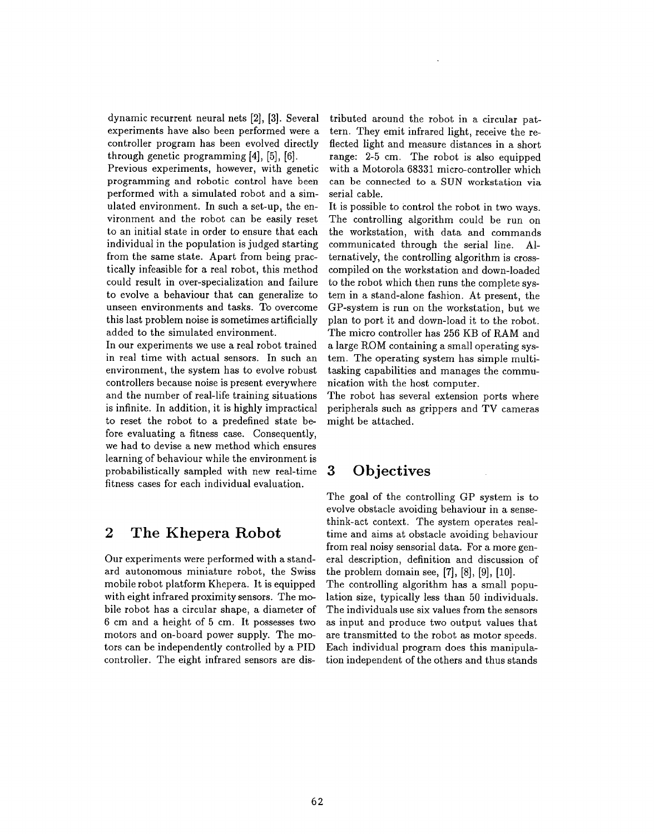dynamic recurrent neural nets [2], [3]. Several experiments have also been performed were a controller program has been evolved directly through genetic programming [4], [5], [6].

Previous experiments, however, with genetic programming and robotic control have been performed with a simulated robot and a simulated environment. In such a set-up, the environment and the robot can be easily reset to an initial state in order to ensure that each individual in the population is judged starting from the same state. Apart from being practically infeasible for a real robot, this method could result in over-specialization and failure to evolve a behaviour that can generalize to unseen environments and tasks. To overcome this last problem noise is sometimes artificially added to the simulated environment.

In our experiments we use a real robot trained in real time with actual sensors. In such an environment, the system has to evolve robust controllers because noise is present everywhere and the number of real-life training situations is infinite. In addition, it is highly impractical to reset the robot to a predefined state before evaluating a fitness case. Consequently, we had to devise a new method which ensures learning of behaviour while the environment is probabilistically sampled with new real-time fitness cases for each individual evaluation.

## **2 The Khepera Robot**

Our experiments were performed with a standard autonomous miniature robot, the Swiss mobile robot platform Khepera. It is equipped with eight infrared proximity sensors. The mobile robot has a circular shape, a diameter of 6 cm and a height of 5 cm. It possesses two motors and on-board power supply. The motors can be independently controlled by a PID controller. The eight infrared sensors are dis-

tributed around the robot in a circular pattern. They emit infrared light, receive the reflected light and measure distances in a short range: 2-5 cm. The robot is also equipped with a Motorola 68331 micro-controller which can be connected to a SUN workstation via serial cable.

It is possible to control the robot in two ways. The controlling algorithm could be run on the workstation, with data and commands communicated through the serial line. Alternatively, the controlling algorithm is crosscompiled on the workstation and down-loaded to the robot which then runs the complete system in a stand-alone fashion. At present, the GP-system is run on the workstation, but we plan to port it and down-load it to the robot. The micro controller has 256 KB of RAM and a large ROM containing a small operating system. The operating system has simple multitasking capabilities and manages the communication with the host computer.

The robot has several extension ports where peripherals such as grippers and TV cameras might be attached.

## **3 Objectives**

The goal of the controlling GP system is to evolve obstacle avoiding behaviour in a sensethink-act context. The system operates realtime and aims at obstacle avoiding behaviour from real noisy sensorial data. For a more general description, definition and discussion of the problem domain see, [7], [8], [9], [10]. The controlling algorithm has a small population size, typically less than 50 individuals. The individuals use six values from the sensors as input and produce two output values that are transmitted to the robot as motor speeds. Each individual program does this manipulation independent of the others and thus stands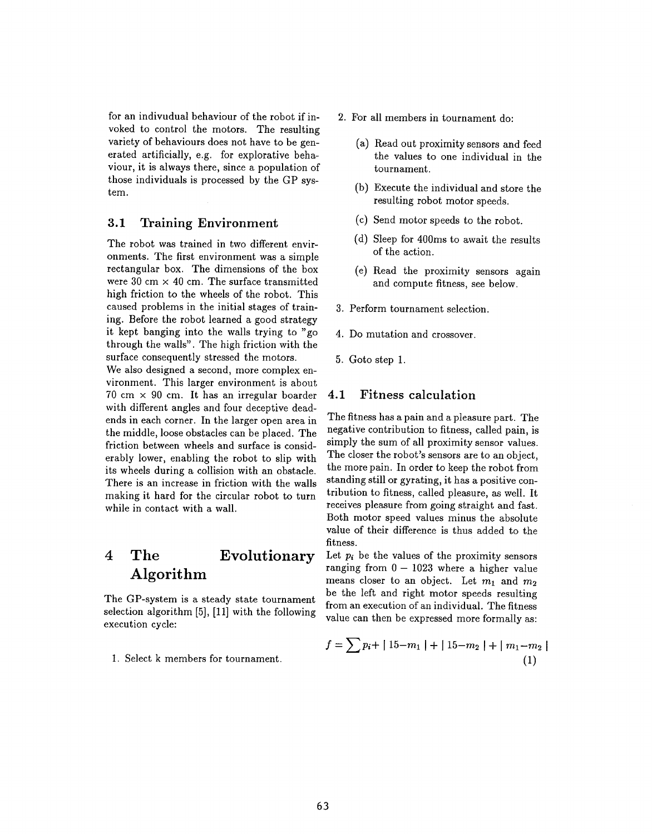for an indivudual behaviour of the robot if invoked to control the motors. The resulting variety of behaviours does not have to be generated artificially, e.g. for explorative behaviour, it is always there, since a population of those individuals is processed by the GP system.

#### **3.1 Training Environment**

The robot was trained in two different environments. The first environment was a simple rectangular box. The dimensions of the box were  $30 \text{ cm} \times 40 \text{ cm}$ . The surface transmitted high friction to the wheels of the robot. This caused problems in the initial stages of training. Before the robot learned a good strategy it kept banging into the walls trying to "go through the walls". The high friction with the surface consequently stressed the motors.

We also designed a second, more complex environment. This larger environment is about 70 cm  $\times$  90 cm. It has an irregular boarder with different angles and four deceptive deadends in each corner. In the larger open area in the middle, loose obstacles can be placed. The friction between wheels and surface is considerably lower, enabling the robot to slip with its wheels during a collision with an obstacle. There is an increase in friction with the walls making it hard for the circular robot to turn while in contact with a wall.

## **4 The Evolutionary Algorithm**

The GP-system is a steady state tournament selection algorithm [5], [11] with the following execution cycle:

1. Select k members for tournament.

- 2. For all members in tournament do:
	- (a) Read out proximity sensors and feed the values to one individual in the tournament.
	- (b) Execute the individual and store the resulting robot motor speeds.
	- (c) Send motor speeds to the robot.
	- (d) Sleep for 400ms to await the results of the action.
	- (e) Read the proximity sensors again and compute fitness, see below.
- 3. Perform tournament selection.
- 4. Do mutation and crossover.
- 5. Goto step 1.

### 4.1 Fitness calculation

The fitness has a pain and a pleasure part. The negative contribution to fitness, called pain, is simply the sum of all proximity sensor values. The closer the robot's sensors are to an object, the more pain. In order to keep the robot from standing still or gyrating, it has a positive contribution to fitness, called pleasure, as well. It receives pleasure from going straight and fast. Both motor speed values minus the absolute value of their difference is thus added to the fitness.

Let  $p_i$  be the values of the proximity sensors ranging from  $0-1023$  where a higher value means closer to an object. Let  $m_1$  and  $m_2$ be the left and right motor speeds resulting from an execution of an individual. The fitness value can then be expressed more formally as:

$$
f = \sum p_i + | 15 - m_1 | + | 15 - m_2 | + | m_1 - m_2 |
$$
  
(1)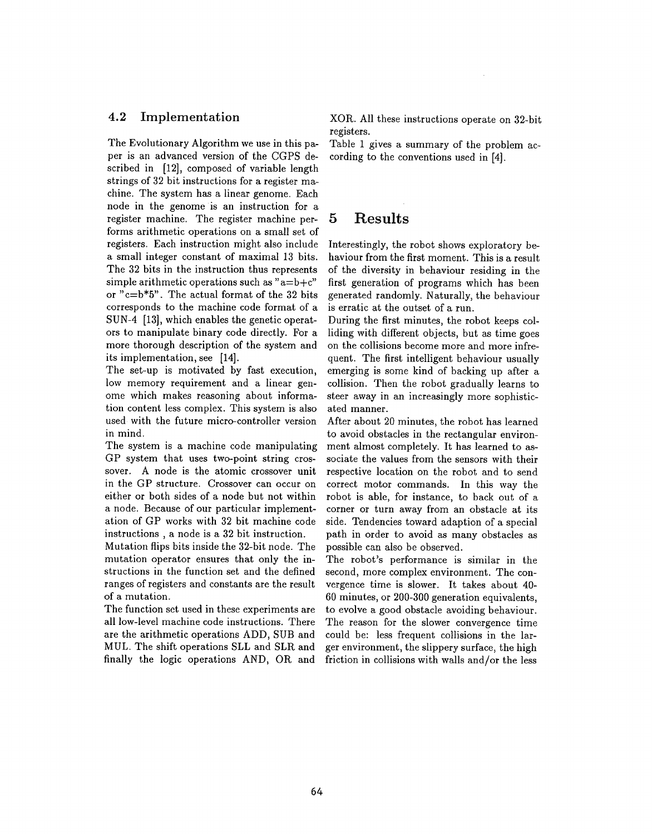#### **4.2 Implementation**

The Evolutionary Algorithm we use in this paper is an advanced version of the CGPS described in [12], composed of variable length strings of 32 bit instructions for a register machine. The system has a linear genome. Each node in the genome is an instruction for a register machine. The register machine performs arithmetic operations on a small set of registers. Each instruction might also include a small integer constant of maximal 13 bits. The 32 bits in the instruction thus represents simple arithmetic operations such as " $a=b+c$ " or "c=b\*5". The actual format of the 32 bits corresponds to the machine code format of a SUN-4 [13], which enables the genetic operators to manipulate binary code directly. For a more thorough description of the system and its implementation, see [14].

The set-up is motivated by fast execution, low memory requirement and a linear genome which makes reasoning about information content less complex. This system is also used with the future micro-controller version in mind.

The system is a machine code manipulating GP system that uses two-point string crossover. A node is the atomic crossover unit in the GP structure. Crossover can occur on either or both sides of a node but not within a node. Because of our particular implementation of GP works with 32 bit machine code instructions , a node is a 32 bit instruction.

Mutation flips bits inside the 32-bit node. The mutation operator ensures that only the instructions in the function set and the defined ranges of registers and constants are the result of a mutation.

The function set used in these experiments are all low-level machine code instructions. There are the arithmetic operations ADD, SUB and MUL. The shift operations SLL and SLR and finally the logic operations  $AND$ ,  $OR$  and XOR. All these instructions operate on 32-bit registers.

Table 1 gives a summary of the problem according to the conventions used in [4].

## **5 Results**

Interestingly, the robot shows exploratory behaviour from the first moment. This is a result of the diversity in behaviour residing in the first generation of programs which has been generated randomly. Naturally, the behaviour is erratic at the outset of a run.

During the first minutes, the robot keeps colliding with different objects, but as time goes on the collisions become more and more infrequent. The first intelligent behaviour usually emerging is some kind of backing up after a collision. Then the robot gradually learns to steer away in an increasingly more sophisticated manner.

After about 20 minutes, the robot has learned to avoid obstacles in the rectangular environment almost completely. It has learned to associate the values from the sensors with their respective location on the robot and to send correct motor commands. In this way the robot is able, for instance, to back out of a corner or turn away from an obstacle at its side. Tendencies toward adaption of a special path in order to avoid as many obstacles as possible can also be observed.

The robot's performance is similar in the second, more complex environment. The convergence time is slower. It takes about 40- 60 minutes, or 200-300 generation equivalents, to evolve a good obstacle avoiding behaviour. The reason for the slower convergence time could be: less frequent collisions in the larger environment, the slippery surface, the high friction in collisions with walls and/or the less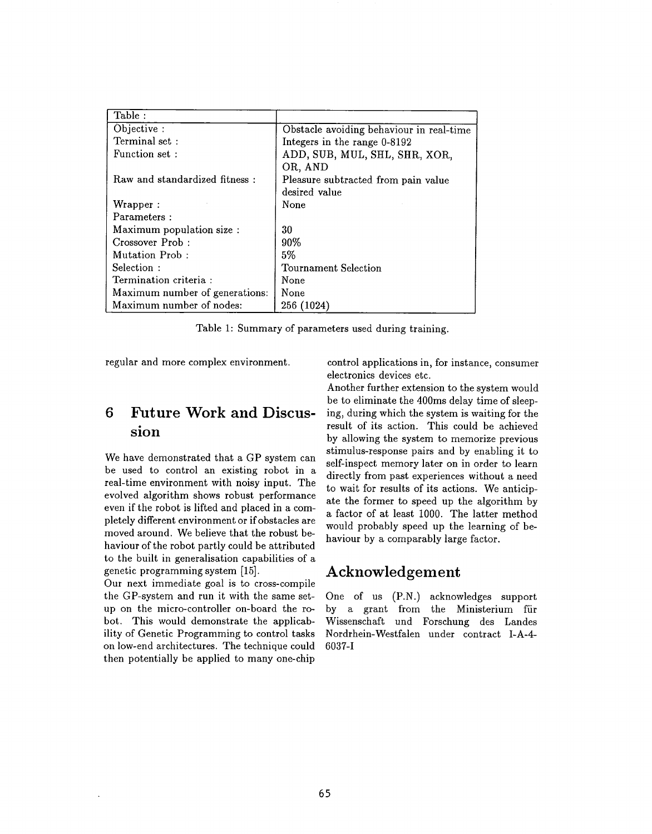| Table:                         |                                          |
|--------------------------------|------------------------------------------|
| Objective:                     | Obstacle avoiding behaviour in real-time |
| Terminal set:                  | Integers in the range 0-8192             |
| Function set:                  | ADD, SUB, MUL, SHL, SHR, XOR,            |
|                                | OR, AND                                  |
| Raw and standardized fitness:  | Pleasure subtracted from pain value      |
|                                | desired value                            |
| Wrapper:                       | None                                     |
| Parameters:                    |                                          |
| Maximum population size :      | 30                                       |
| Crossover Prob:                | 90%                                      |
| Mutation Prob:                 | 5%                                       |
| Selection:                     | Tournament Selection                     |
| Termination criteria :         | None                                     |
| Maximum number of generations: | None                                     |
| Maximum number of nodes:       | 256 (1024)                               |

Table 1: Summary of parameters used during training.

regular and more complex environment.

## **6 Future Work and Discussion**

We have demonstrated that a GP system can be used to control an existing robot in a real-time environment with noisy input. The evolved algorithm shows robust performance even if the robot is lifted and placed in a completely different environment or if obstacles are moved around. We believe that the robust behaviour of the robot partly could be attributed to the built in generalisation capabilities of a genetic programming system [15].

Our next immediate goal is to cross-compile the GP-system and run it with the same setup on the micro-controller on-board the robot. This would demonstrate the applicability of Genetic Programming to control tasks on low-end architectures. The technique could then potentially be applied to many one-chip

control applications in, for instance, consumer electronics devices etc.

Another further extension to the system would be to eliminate the 400ms delay time of sleeping, during which the system is waiting for the result of its action. This could be achieved by allowing the system to memorize previous stimulus-response pairs and by enabling it to self-inspect memory later on in order to learn directly from past experiences without a need to wait for results of its actions. We anticipate the former to speed up the algorithm by a factor of at least 1000. The latter method would probably speed up the learning of behaviour by a comparably large factor.

## **Acknowledgement**

One of us (P.N.) acknowledges support by a grant from the Ministerium fiir Wissenschaft und Forschung des Landes Nordrhein-Westfalen under contract I-A-4- 6037-I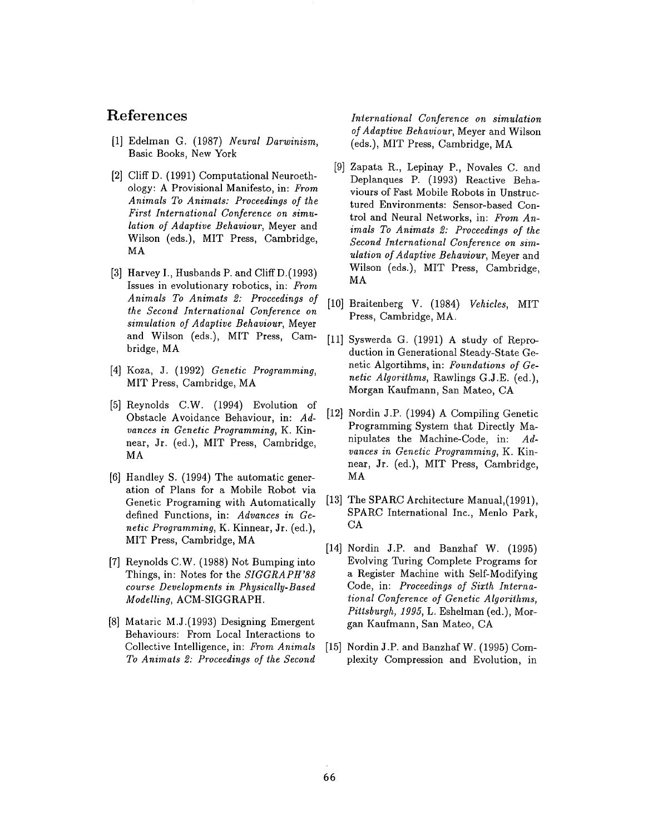## **References**

- [1] Edelman G. (1987) *Neural Darwinism,* Basic Books, New York
- [2] Cliff D. (1991) Computational Neuroethology: A Provisional Manifesto, in: *From Animals To Animats: Proceedings of the First International Conference on simulation of Adaptive Behaviour,* Meyer and Wilson (eds.), MIT Press, Cambridge, MA
- [3] Harvey I., Husbands P. and Cliff D.(1993) Issues in evolutionary robotics, in: *From Animals To Animals 2: Proceedings of* [10] *the Second International Conference on simulation of Adaptive Behaviour,* Meyer and Wilson (eds.), MIT Press, Cambridge, MA
- [4] Koza, J. (1992) *Genetic Programming,* MIT Press, Cambridge, MA
- [5] Reynolds C.W. (1994) Evolution of Obstacle Avoidance Behaviour, in: *Advances in Genetic Programming,* K. Kinnear, Jr. (ed.), MIT Press, Cambridge, MA
- [6] Handley S. (1994) The automatic generation of Plans for a Mobile Robot via Genetic Programing with Automatically defined Functions, in: *Advances in Genetic Programming,* K. Kinnear, Jr. (ed.), MIT Press, Cambridge, MA
- [7] Reynolds C.W. (1988) Not Bumping into Things, in: Notes for the *SIGGRAPH'88 course Developments in Physically-Based Modelling,* ACM-SIGGRAPH.
- [8] Mataric M.J.(1993) Designing Emergent Behaviours: From Local Interactions to Collective Intelligence, in: *From Animals To Animals 2: Proceedings of the Second*

*International Conference on simulation of Adaptive Behaviour,* Meyer and Wilson (eds.), MIT Press, Cambridge,

- [9] Zapata R., Lepinay P., Novales C. and Deplanques P. (1993) Reactive Behaviours of Fast Mobile Robots in Unstructured Environments: Sensor-based Control and Neural Networks, in: *From Animals To Animats 2: Proceedings of the Second International Conference on simulation of Adaptive Behaviour,* Meyer and Wilson (eds.), MIT Press, Cambridge, MA
- Braitenberg V. (1984) *Vehicles,* MIT Press, Cambridge, MA.
- [11] Syswerda G. (1991) A study of Reproduction in Generational Steady-State Genetic Algortihms, in: *Foundations of Genetic Algorithms,* Rawlings G.J.E. (ed.), Morgan Kaufmann, San Mateo, CA
- [12] Nordin J.P. (1994) A Compiling Genetic Programming System that Directly Manipulates the Machine-Code, in: *Advances in Genetic Programming,* K. Kinnear, Jr. (ed.), MIT Press, Cambridge, MA
- $[13]$ The SPARC Architecture Manual,(1991), SPARC International Inc., Menlo Park, CA
- [14] Nordin J.P. and Banzhaf W. (1998 Evolving Turing Complete Programs for a Register Machine with Self-Modifying Code, in: *Proceedings of Sixth International Conference of Genetic Algorithms, Pittsburgh, 1995,* L. Eshelman (ed.), Morgan Kaufmann, San Mateo, CA
- [15] Nordin J.P. and Banzhaf W. (1995) Complexity Compression and Evolution, in